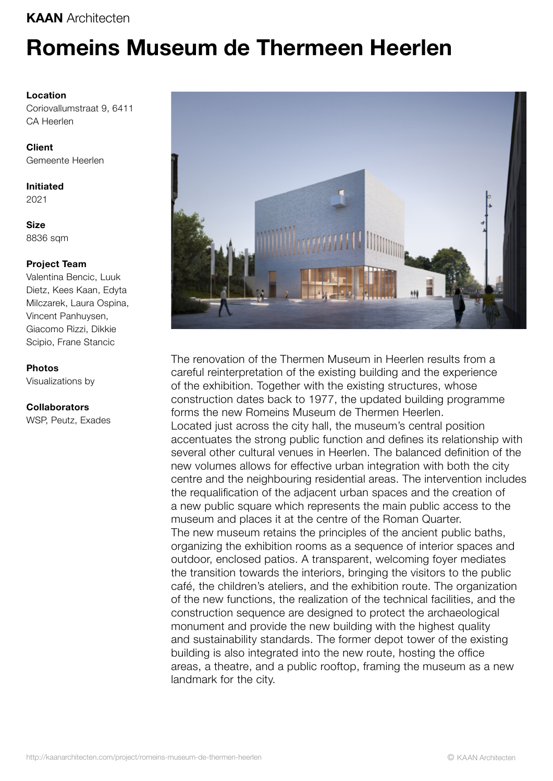## KAAN Architecten

# Romeins Museum de Thermeen Heerlen

### Location

Coriovallumstraat 9, 6411 CA Heerlen

Client Gemeente Heerlen

Initiated 2021

**Size** 8836 sqm

### Project Team

Valentina Bencic, Luuk Dietz, Kees Kaan, Edyta Milczarek, Laura Ospina, Vincent Panhuysen, Giacomo Rizzi, Dikkie Scipio, Frane Stancic

#### Photos

Visualizations by

#### Collaborators

WSP, Peutz, Exades



The renovation of the Thermen Museum in Heerlen results from a careful reinterpretation of the existing building and the experience of the exhibition. Together with the existing structures, whose construction dates back to 1977, the updated building programme forms the new Romeins Museum de Thermen Heerlen. Located just across the city hall, the museum's central position accentuates the strong public function and defines its relationship with several other cultural venues in Heerlen. The balanced definition of the new volumes allows for effective urban integration with both the city centre and the neighbouring residential areas. The intervention includes the requalification of the adjacent urban spaces and the creation of a new public square which represents the main public access to the museum and places it at the centre of the Roman Quarter. The new museum retains the principles of the ancient public baths, organizing the exhibition rooms as a sequence of interior spaces and outdoor, enclosed patios. A transparent, welcoming foyer mediates the transition towards the interiors, bringing the visitors to the public café, the children's ateliers, and the exhibition route. The organization of the new functions, the realization of the technical facilities, and the construction sequence are designed to protect the archaeological monument and provide the new building with the highest quality and sustainability standards. The former depot tower of the existing building is also integrated into the new route, hosting the office areas, a theatre, and a public rooftop, framing the museum as a new landmark for the city.